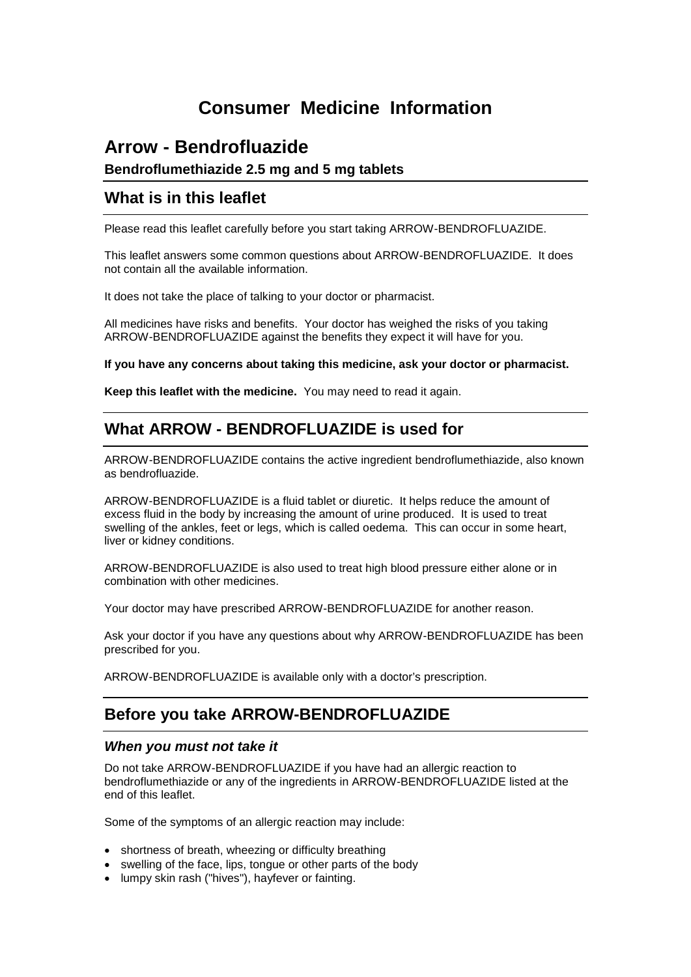# **Consumer Medicine Information**

# **Arrow - Bendrofluazide**

**Bendroflumethiazide 2.5 mg and 5 mg tablets**

### **What is in this leaflet**

Please read this leaflet carefully before you start taking ARROW-BENDROFLUAZIDE.

This leaflet answers some common questions about ARROW-BENDROFLUAZIDE. It does not contain all the available information.

It does not take the place of talking to your doctor or pharmacist.

All medicines have risks and benefits. Your doctor has weighed the risks of you taking ARROW-BENDROFLUAZIDE against the benefits they expect it will have for you.

**If you have any concerns about taking this medicine, ask your doctor or pharmacist.** 

**Keep this leaflet with the medicine.** You may need to read it again.

# **What ARROW - BENDROFLUAZIDE is used for**

ARROW-BENDROFLUAZIDE contains the active ingredient bendroflumethiazide, also known as bendrofluazide.

ARROW-BENDROFLUAZIDE is a fluid tablet or diuretic. It helps reduce the amount of excess fluid in the body by increasing the amount of urine produced. It is used to treat swelling of the ankles, feet or legs, which is called oedema. This can occur in some heart, liver or kidney conditions.

ARROW-BENDROFLUAZIDE is also used to treat high blood pressure either alone or in combination with other medicines.

Your doctor may have prescribed ARROW-BENDROFLUAZIDE for another reason.

Ask your doctor if you have any questions about why ARROW-BENDROFLUAZIDE has been prescribed for you.

ARROW-BENDROFLUAZIDE is available only with a doctor's prescription.

## **Before you take ARROW-BENDROFLUAZIDE**

### *When you must not take it*

Do not take ARROW-BENDROFLUAZIDE if you have had an allergic reaction to bendroflumethiazide or any of the ingredients in ARROW-BENDROFLUAZIDE listed at the end of this leaflet.

Some of the symptoms of an allergic reaction may include:

- shortness of breath, wheezing or difficulty breathing
- swelling of the face, lips, tongue or other parts of the body
- lumpy skin rash ("hives"), hayfever or fainting.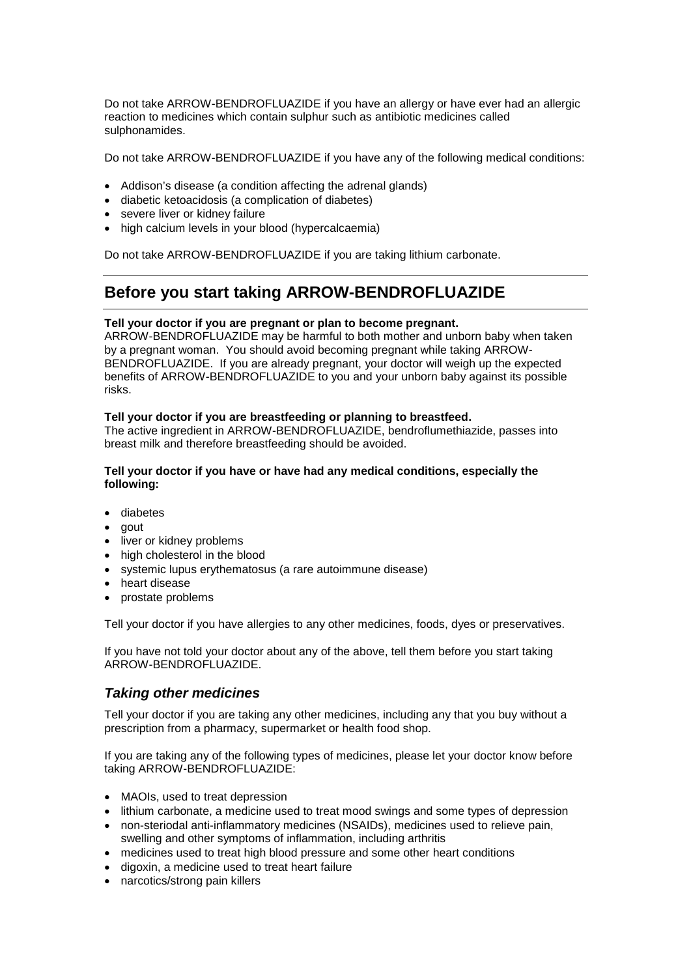Do not take ARROW-BENDROFLUAZIDE if you have an allergy or have ever had an allergic reaction to medicines which contain sulphur such as antibiotic medicines called sulphonamides.

Do not take ARROW-BENDROFLUAZIDE if you have any of the following medical conditions:

- Addison's disease (a condition affecting the adrenal glands)
- diabetic ketoacidosis (a complication of diabetes)
- severe liver or kidney failure
- high calcium levels in your blood (hypercalcaemia)

Do not take ARROW-BENDROFLUAZIDE if you are taking lithium carbonate.

## **Before you start taking ARROW-BENDROFLUAZIDE**

#### **Tell your doctor if you are pregnant or plan to become pregnant.**

ARROW-BENDROFLUAZIDE may be harmful to both mother and unborn baby when taken by a pregnant woman. You should avoid becoming pregnant while taking ARROW-BENDROFLUAZIDE. If you are already pregnant, your doctor will weigh up the expected benefits of ARROW-BENDROFLUAZIDE to you and your unborn baby against its possible risks.

#### **Tell your doctor if you are breastfeeding or planning to breastfeed.**

The active ingredient in ARROW-BENDROFLUAZIDE, bendroflumethiazide, passes into breast milk and therefore breastfeeding should be avoided.

#### **Tell your doctor if you have or have had any medical conditions, especially the following:**

- diabetes
- gout
- liver or kidney problems
- high cholesterol in the blood
- systemic lupus erythematosus (a rare autoimmune disease)
- heart disease
- prostate problems

Tell your doctor if you have allergies to any other medicines, foods, dyes or preservatives.

If you have not told your doctor about any of the above, tell them before you start taking ARROW-BENDROFLUAZIDE.

### *Taking other medicines*

Tell your doctor if you are taking any other medicines, including any that you buy without a prescription from a pharmacy, supermarket or health food shop.

If you are taking any of the following types of medicines, please let your doctor know before taking ARROW-BENDROFLUAZIDE:

- MAOIs, used to treat depression
- lithium carbonate, a medicine used to treat mood swings and some types of depression
- non-steriodal anti-inflammatory medicines (NSAIDs), medicines used to relieve pain, swelling and other symptoms of inflammation, including arthritis
- medicines used to treat high blood pressure and some other heart conditions
- digoxin, a medicine used to treat heart failure
- narcotics/strong pain killers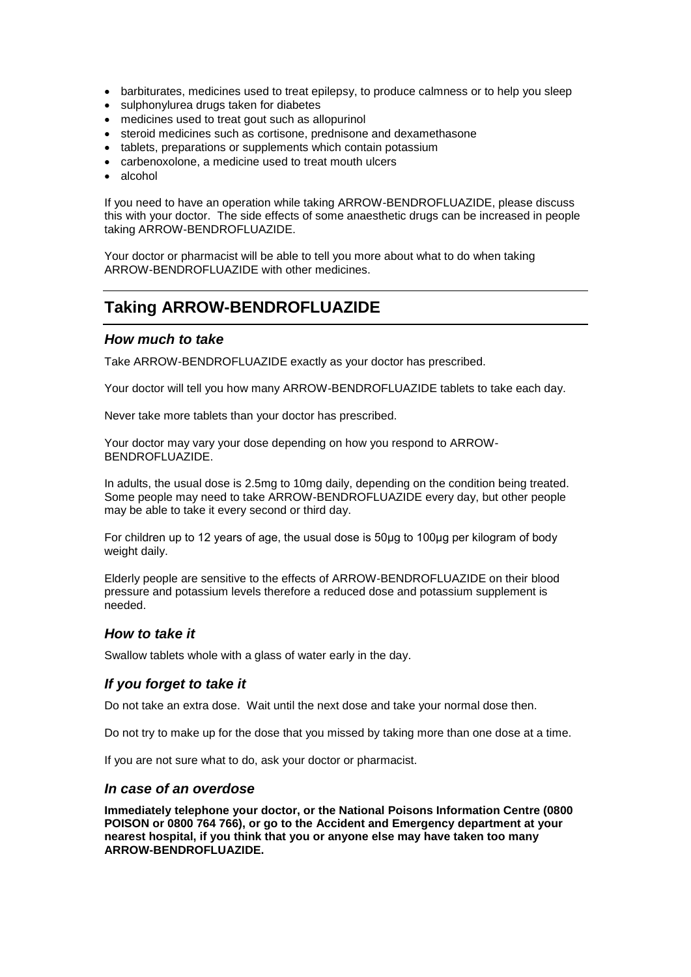- barbiturates, medicines used to treat epilepsy, to produce calmness or to help you sleep
- sulphonylurea drugs taken for diabetes
- medicines used to treat gout such as allopurinol
- steroid medicines such as cortisone, prednisone and dexamethasone
- tablets, preparations or supplements which contain potassium
- carbenoxolone, a medicine used to treat mouth ulcers
- alcohol

If you need to have an operation while taking ARROW-BENDROFLUAZIDE, please discuss this with your doctor. The side effects of some anaesthetic drugs can be increased in people taking ARROW-BENDROFLUAZIDE.

Your doctor or pharmacist will be able to tell you more about what to do when taking ARROW-BENDROFLUAZIDE with other medicines.

# **Taking ARROW-BENDROFLUAZIDE**

### *How much to take*

Take ARROW-BENDROFLUAZIDE exactly as your doctor has prescribed.

Your doctor will tell you how many ARROW-BENDROFLUAZIDE tablets to take each day.

Never take more tablets than your doctor has prescribed.

Your doctor may vary your dose depending on how you respond to ARROW-BENDROFLUAZIDE.

In adults, the usual dose is 2.5mg to 10mg daily, depending on the condition being treated. Some people may need to take ARROW-BENDROFLUAZIDE every day, but other people may be able to take it every second or third day.

For children up to 12 years of age, the usual dose is 50μg to 100μg per kilogram of body weight daily.

Elderly people are sensitive to the effects of ARROW-BENDROFLUAZIDE on their blood pressure and potassium levels therefore a reduced dose and potassium supplement is needed.

### *How to take it*

Swallow tablets whole with a glass of water early in the day.

### *If you forget to take it*

Do not take an extra dose. Wait until the next dose and take your normal dose then.

Do not try to make up for the dose that you missed by taking more than one dose at a time.

If you are not sure what to do, ask your doctor or pharmacist.

### *In case of an overdose*

**Immediately telephone your doctor, or the National Poisons Information Centre (0800 POISON or 0800 764 766), or go to the Accident and Emergency department at your nearest hospital, if you think that you or anyone else may have taken too many ARROW-BENDROFLUAZIDE.**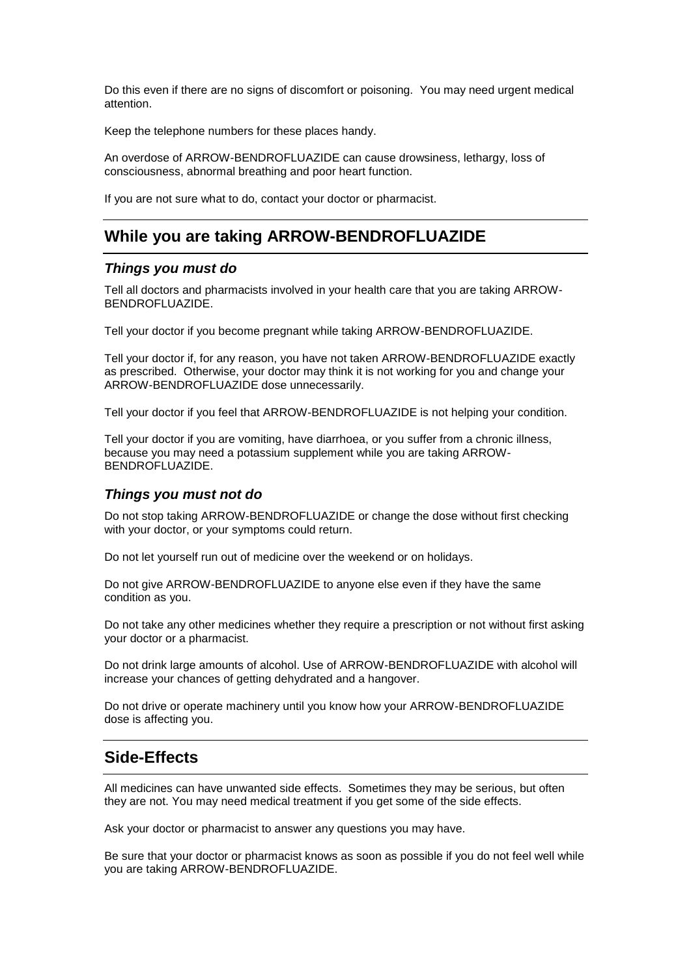Do this even if there are no signs of discomfort or poisoning. You may need urgent medical attention.

Keep the telephone numbers for these places handy.

An overdose of ARROW-BENDROFLUAZIDE can cause drowsiness, lethargy, loss of consciousness, abnormal breathing and poor heart function.

If you are not sure what to do, contact your doctor or pharmacist.

## **While you are taking ARROW-BENDROFLUAZIDE**

### *Things you must do*

Tell all doctors and pharmacists involved in your health care that you are taking ARROW-BENDROFLUAZIDE.

Tell your doctor if you become pregnant while taking ARROW-BENDROFLUAZIDE.

Tell your doctor if, for any reason, you have not taken ARROW-BENDROFLUAZIDE exactly as prescribed. Otherwise, your doctor may think it is not working for you and change your ARROW-BENDROFLUAZIDE dose unnecessarily.

Tell your doctor if you feel that ARROW-BENDROFLUAZIDE is not helping your condition.

Tell your doctor if you are vomiting, have diarrhoea, or you suffer from a chronic illness, because you may need a potassium supplement while you are taking ARROW-BENDROFLUAZIDE.

### *Things you must not do*

Do not stop taking ARROW-BENDROFLUAZIDE or change the dose without first checking with your doctor, or your symptoms could return.

Do not let yourself run out of medicine over the weekend or on holidays.

Do not give ARROW-BENDROFLUAZIDE to anyone else even if they have the same condition as you.

Do not take any other medicines whether they require a prescription or not without first asking your doctor or a pharmacist.

Do not drink large amounts of alcohol. Use of ARROW-BENDROFLUAZIDE with alcohol will increase your chances of getting dehydrated and a hangover.

Do not drive or operate machinery until you know how your ARROW-BENDROFLUAZIDE dose is affecting you.

## **Side-Effects**

All medicines can have unwanted side effects. Sometimes they may be serious, but often they are not. You may need medical treatment if you get some of the side effects.

Ask your doctor or pharmacist to answer any questions you may have.

Be sure that your doctor or pharmacist knows as soon as possible if you do not feel well while you are taking ARROW-BENDROFLUAZIDE.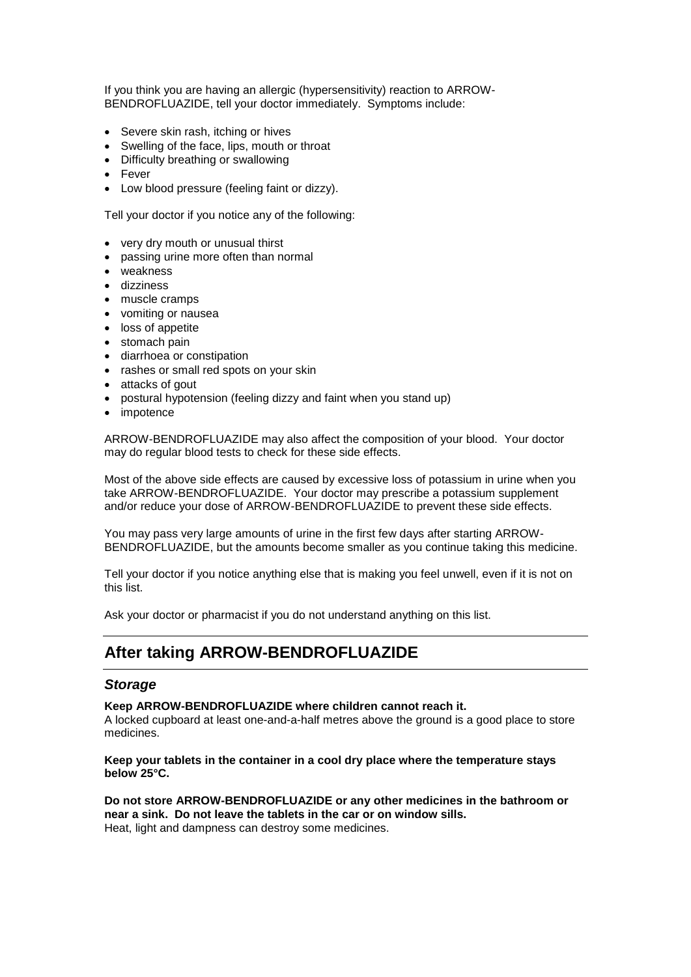If you think you are having an allergic (hypersensitivity) reaction to ARROW-BENDROFLUAZIDE, tell your doctor immediately. Symptoms include:

- Severe skin rash, itching or hives
- Swelling of the face, lips, mouth or throat
- Difficulty breathing or swallowing
- Fever
- Low blood pressure (feeling faint or dizzy).

Tell your doctor if you notice any of the following:

- very dry mouth or unusual thirst
- passing urine more often than normal
- weakness
- dizziness
- muscle cramps
- vomiting or nausea
- loss of appetite
- stomach pain
- diarrhoea or constipation
- rashes or small red spots on your skin
- attacks of gout
- postural hypotension (feeling dizzy and faint when you stand up)
- impotence

ARROW-BENDROFLUAZIDE may also affect the composition of your blood. Your doctor may do regular blood tests to check for these side effects.

Most of the above side effects are caused by excessive loss of potassium in urine when you take ARROW-BENDROFLUAZIDE. Your doctor may prescribe a potassium supplement and/or reduce your dose of ARROW-BENDROFLUAZIDE to prevent these side effects.

You may pass very large amounts of urine in the first few days after starting ARROW-BENDROFLUAZIDE, but the amounts become smaller as you continue taking this medicine.

Tell your doctor if you notice anything else that is making you feel unwell, even if it is not on this list.

Ask your doctor or pharmacist if you do not understand anything on this list.

### **After taking ARROW-BENDROFLUAZIDE**

#### *Storage*

**Keep ARROW-BENDROFLUAZIDE where children cannot reach it.** 

A locked cupboard at least one-and-a-half metres above the ground is a good place to store medicines.

**Keep your tablets in the container in a cool dry place where the temperature stays below 25°C.**

**Do not store ARROW-BENDROFLUAZIDE or any other medicines in the bathroom or near a sink. Do not leave the tablets in the car or on window sills.**  Heat, light and dampness can destroy some medicines.